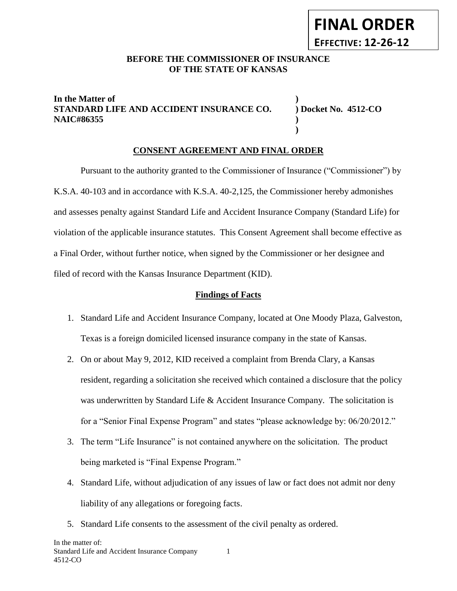## **BEFORE THE COMMISSIONER OF INSURANCE OF THE STATE OF KANSAS**

## **In the Matter of ) STANDARD LIFE AND ACCIDENT INSURANCE CO. ) Docket No. 4512-CO NAIC#86355 )**

**)**

## **CONSENT AGREEMENT AND FINAL ORDER**

Pursuant to the authority granted to the Commissioner of Insurance ("Commissioner") by K.S.A. 40-103 and in accordance with K.S.A. 40-2,125, the Commissioner hereby admonishes and assesses penalty against Standard Life and Accident Insurance Company (Standard Life) for violation of the applicable insurance statutes. This Consent Agreement shall become effective as a Final Order, without further notice, when signed by the Commissioner or her designee and filed of record with the Kansas Insurance Department (KID).

#### **Findings of Facts**

- 1. Standard Life and Accident Insurance Company, located at One Moody Plaza, Galveston, Texas is a foreign domiciled licensed insurance company in the state of Kansas.
- 2. On or about May 9, 2012, KID received a complaint from Brenda Clary, a Kansas resident, regarding a solicitation she received which contained a disclosure that the policy was underwritten by Standard Life & Accident Insurance Company. The solicitation is for a "Senior Final Expense Program" and states "please acknowledge by: 06/20/2012."
- 3. The term "Life Insurance" is not contained anywhere on the solicitation. The product being marketed is "Final Expense Program."
- 4. Standard Life, without adjudication of any issues of law or fact does not admit nor deny liability of any allegations or foregoing facts.
- 5. Standard Life consents to the assessment of the civil penalty as ordered.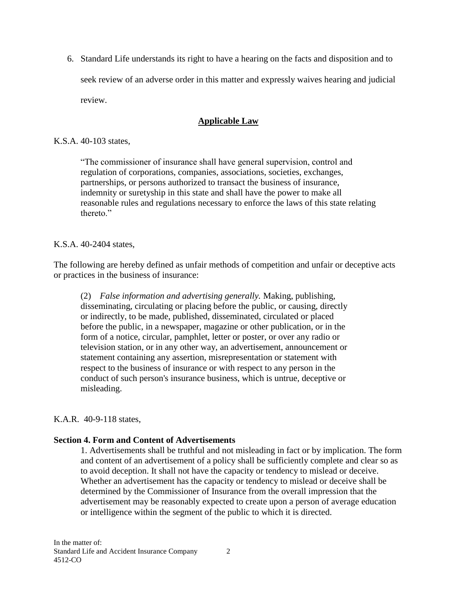6. Standard Life understands its right to have a hearing on the facts and disposition and to seek review of an adverse order in this matter and expressly waives hearing and judicial review.

# **Applicable Law**

### K.S.A. 40-103 states,

"The commissioner of insurance shall have general supervision, control and regulation of corporations, companies, associations, societies, exchanges, partnerships, or persons authorized to transact the business of insurance, indemnity or suretyship in this state and shall have the power to make all reasonable rules and regulations necessary to enforce the laws of this state relating thereto<sup>"</sup>

## K.S.A. 40-2404 states,

The following are hereby defined as unfair methods of competition and unfair or deceptive acts or practices in the business of insurance:

(2) *False information and advertising generally.* Making, publishing, disseminating, circulating or placing before the public, or causing, directly or indirectly, to be made, published, disseminated, circulated or placed before the public, in a newspaper, magazine or other publication, or in the form of a notice, circular, pamphlet, letter or poster, or over any radio or television station, or in any other way, an advertisement, announcement or statement containing any assertion, misrepresentation or statement with respect to the business of insurance or with respect to any person in the conduct of such person's insurance business, which is untrue, deceptive or misleading.

#### K.A.R. 40-9-118 states,

#### **Section 4. Form and Content of Advertisements**

1. Advertisements shall be truthful and not misleading in fact or by implication. The form and content of an advertisement of a policy shall be sufficiently complete and clear so as to avoid deception. It shall not have the capacity or tendency to mislead or deceive. Whether an advertisement has the capacity or tendency to mislead or deceive shall be determined by the Commissioner of Insurance from the overall impression that the advertisement may be reasonably expected to create upon a person of average education or intelligence within the segment of the public to which it is directed.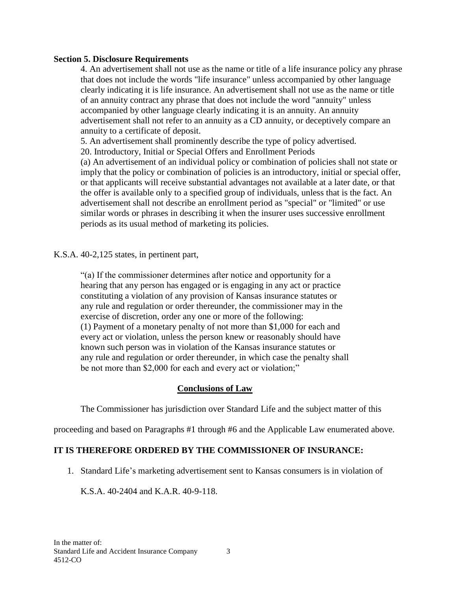#### **Section 5. Disclosure Requirements**

4. An advertisement shall not use as the name or title of a life insurance policy any phrase that does not include the words "life insurance" unless accompanied by other language clearly indicating it is life insurance. An advertisement shall not use as the name or title of an annuity contract any phrase that does not include the word "annuity" unless accompanied by other language clearly indicating it is an annuity. An annuity advertisement shall not refer to an annuity as a CD annuity, or deceptively compare an annuity to a certificate of deposit.

5. An advertisement shall prominently describe the type of policy advertised.

20. Introductory, Initial or Special Offers and Enrollment Periods

(a) An advertisement of an individual policy or combination of policies shall not state or imply that the policy or combination of policies is an introductory, initial or special offer, or that applicants will receive substantial advantages not available at a later date, or that the offer is available only to a specified group of individuals, unless that is the fact. An advertisement shall not describe an enrollment period as "special" or "limited" or use similar words or phrases in describing it when the insurer uses successive enrollment periods as its usual method of marketing its policies.

K.S.A. 40-2,125 states, in pertinent part,

"(a) If the commissioner determines after notice and opportunity for a hearing that any person has engaged or is engaging in any act or practice constituting a violation of any provision of Kansas insurance statutes or any rule and regulation or order thereunder, the commissioner may in the exercise of discretion, order any one or more of the following: (1) Payment of a monetary penalty of not more than \$1,000 for each and every act or violation, unless the person knew or reasonably should have known such person was in violation of the Kansas insurance statutes or any rule and regulation or order thereunder, in which case the penalty shall be not more than \$2,000 for each and every act or violation;"

## **Conclusions of Law**

The Commissioner has jurisdiction over Standard Life and the subject matter of this

proceeding and based on Paragraphs #1 through #6 and the Applicable Law enumerated above.

## **IT IS THEREFORE ORDERED BY THE COMMISSIONER OF INSURANCE:**

1. Standard Life's marketing advertisement sent to Kansas consumers is in violation of

K.S.A. 40-2404 and K.A.R. 40-9-118.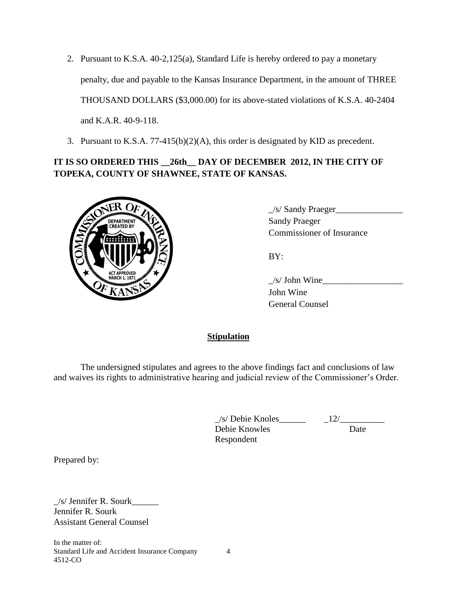2. Pursuant to K.S.A. 40-2,125(a), Standard Life is hereby ordered to pay a monetary penalty, due and payable to the Kansas Insurance Department, in the amount of THREE THOUSAND DOLLARS (\$3,000.00) for its above-stated violations of K.S.A. 40-2404 and K.A.R. 40-9-118.

3. Pursuant to K.S.A. 77-415(b)(2)(A), this order is designated by KID as precedent.

# **IT IS SO ORDERED THIS \_\_26th\_\_ DAY OF DECEMBER 2012, IN THE CITY OF TOPEKA, COUNTY OF SHAWNEE, STATE OF KANSAS.**



 $1/s/$  Sandy Praeger 3. Commissioner of Insurance

BY:

 $/s/$  John Wine John Wine General Counsel

**Stipulation**

The undersigned stipulates and agrees to the above findings fact and conclusions of law and waives its rights to administrative hearing and judicial review of the Commissioner's Order.

> $\angle$ s/ Debie Knoles<br>Debie Knowles<br>Date Debie Knowles Respondent

Prepared by:

\_/s/ Jennifer R. Sourk\_\_\_\_\_\_ Jennifer R. Sourk Assistant General Counsel

In the matter of: Standard Life and Accident Insurance Company 4 4512-CO